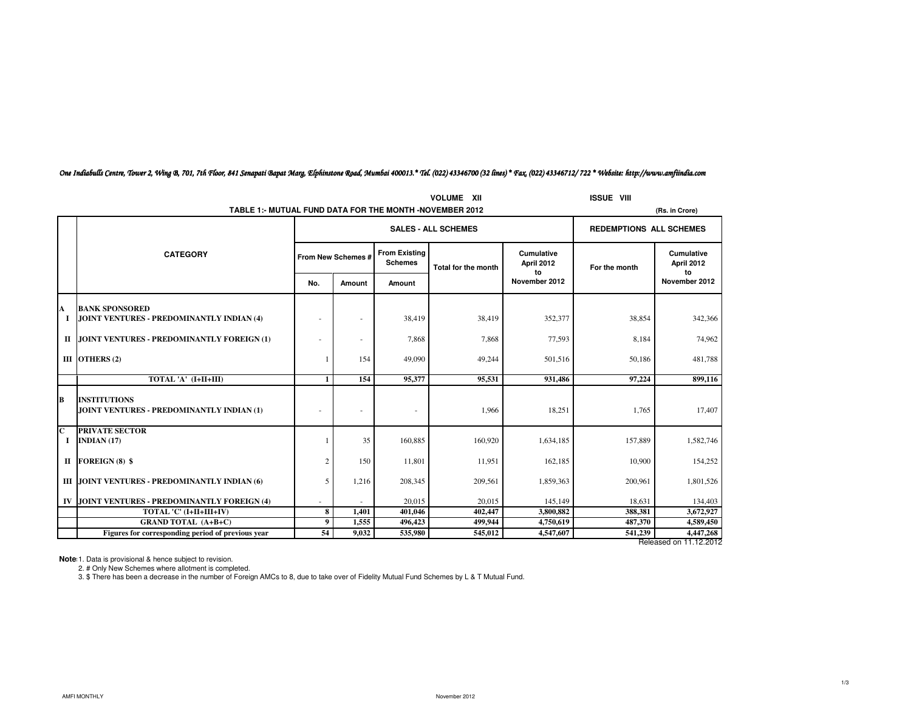|                         | <b>VOLUME XII</b>                                                |                    |                |                                        |                                |                                       |               |                                       |  |
|-------------------------|------------------------------------------------------------------|--------------------|----------------|----------------------------------------|--------------------------------|---------------------------------------|---------------|---------------------------------------|--|
|                         | TABLE 1:- MUTUAL FUND DATA FOR THE MONTH -NOVEMBER 2012          |                    | (Rs. in Crore) |                                        |                                |                                       |               |                                       |  |
|                         |                                                                  |                    |                | <b>SALES - ALL SCHEMES</b>             | <b>REDEMPTIONS ALL SCHEMES</b> |                                       |               |                                       |  |
|                         | <b>CATEGORY</b>                                                  | From New Schemes # |                | <b>From Existing</b><br><b>Schemes</b> | <b>Total for the month</b>     | <b>Cumulative</b><br>April 2012<br>to | For the month | <b>Cumulative</b><br>April 2012<br>to |  |
|                         |                                                                  | No.                | Amount         | Amount                                 |                                | November 2012                         |               | November 2012                         |  |
| A                       | <b>BANK SPONSORED</b>                                            |                    |                |                                        |                                |                                       |               |                                       |  |
| 1                       | JOINT VENTURES - PREDOMINANTLY INDIAN (4)                        | ٠                  |                | 38.419                                 | 38,419                         | 352,377                               | 38,854        | 342,366                               |  |
|                         | II JOINT VENTURES - PREDOMINANTLY FOREIGN (1)                    | ٠                  |                | 7,868                                  | 7,868                          | 77,593                                | 8,184         | 74,962                                |  |
|                         | III OTHERS (2)                                                   |                    | 154            | 49,090                                 | 49,244                         | 501,516                               | 50,186        | 481,788                               |  |
|                         | TOTAL 'A' (I+II+III)                                             | $\mathbf{1}$       | 154            | 95,377                                 | 95,531                         | 931,486                               | 97,224        | 899,116                               |  |
| B                       | <b>INSTITUTIONS</b><br>JOINT VENTURES - PREDOMINANTLY INDIAN (1) | ٠                  |                | ٠                                      | 1,966                          | 18,251                                | 1,765         | 17,407                                |  |
| $\overline{\mathbf{C}}$ | <b>PRIVATE SECTOR</b>                                            |                    |                |                                        |                                |                                       |               |                                       |  |
| I                       | INDIAN $(17)$                                                    |                    | 35             | 160,885                                | 160,920                        | 1,634,185                             | 157,889       | 1,582,746                             |  |
| П                       | <b>FOREIGN (8) \$</b>                                            | $\overline{2}$     | 150            | 11,801                                 | 11,951                         | 162,185                               | 10,900        | 154,252                               |  |
|                         | III JOINT VENTURES - PREDOMINANTLY INDIAN (6)                    | 5                  | 1,216          | 208,345                                | 209,561                        | 1,859,363                             | 200,961       | 1,801,526                             |  |
| IV                      | JOINT VENTURES - PREDOMINANTLY FOREIGN (4)                       |                    |                | 20,015                                 | 20.015                         | 145,149                               | 18.631        | 134,403                               |  |
|                         | TOTAL 'C' (I+II+III+IV)                                          | 8                  | 1,401          | 401.046                                | 402,447                        | 3,800,882                             | 388,381       | 3,672,927                             |  |
|                         | <b>GRAND TOTAL (A+B+C)</b>                                       | 9                  | 1,555          | 496,423                                | 499,944                        | 4,750,619                             | 487,370       | 4,589,450                             |  |
|                         | Figures for corresponding period of previous year                | 54                 | 9.032          | 535,980                                | 545,012                        | 4,547,607                             | 541,239       | 4,447,268                             |  |
|                         | Released on 11.12.2012                                           |                    |                |                                        |                                |                                       |               |                                       |  |

# One Indiabulls Centre, Tower 2, Wing B, 701, 7th Floor, 841 Senapati Bapat Marg, Elphinstone Road, Mumbai 400013.\* Tel. (022) 43346700 (32 lines) \* Fax. (022) 43346712/ 722 \* Website: http://www.amfiindia.com

**Note** 1. Data is provisional & hence subject to revision.<br>2. # Only New Schemes where allotment is completed.

3. \$ There has been a decrease in the number of Foreign AMCs to 8, due to take over of Fidelity Mutual Fund Schemes by L & T Mutual Fund.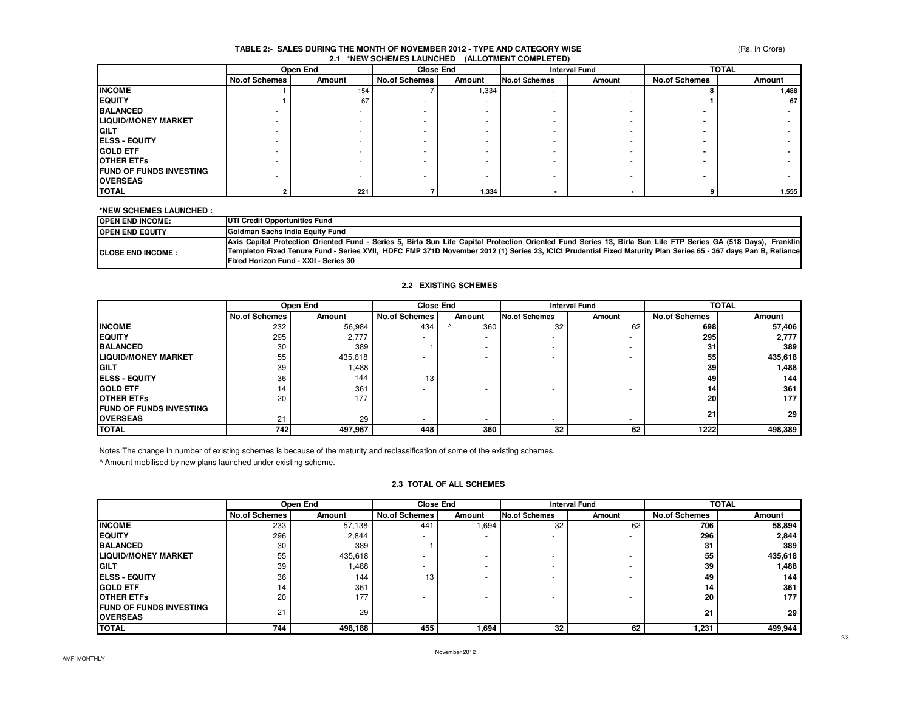#### (Rs. in Crore)

#### **2.1 \*NEW SCHEMES LAUNCHED (ALLOTMENT COMPLETED)TABLE 2:- SALES DURING THE MONTH OF NOVEMBER 2012 - TYPE AND CATEGORY WISE**

|                                | Open End             |        | <b>Close End</b>     |        | <b>Interval Fund</b> |        | <b>TOTAL</b>         |        |
|--------------------------------|----------------------|--------|----------------------|--------|----------------------|--------|----------------------|--------|
|                                | <b>No.of Schemes</b> | Amount | <b>No.of Schemes</b> | Amount | <b>No.of Schemes</b> | Amount | <b>No.of Schemes</b> | Amount |
| <b>INCOME</b>                  |                      | 154    |                      | 1,334  | .                    |        |                      | 1,488  |
| <b>EQUITY</b>                  |                      | 67     |                      |        |                      |        |                      | 67 I   |
| <b>BALANCED</b>                |                      |        |                      |        |                      |        |                      |        |
| <b>LIQUID/MONEY MARKET</b>     |                      |        |                      |        |                      |        |                      |        |
| <b>IGILT</b>                   |                      |        |                      |        |                      |        |                      |        |
| <b>IELSS - EQUITY</b>          |                      |        |                      |        |                      |        |                      |        |
| <b>GOLD ETF</b>                |                      |        |                      |        |                      |        |                      |        |
| <b>OTHER ETFS</b>              |                      |        |                      |        |                      |        |                      |        |
| <b>FUND OF FUNDS INVESTING</b> |                      |        |                      |        |                      |        |                      |        |
| <b>OVERSEAS</b>                |                      |        |                      |        |                      |        |                      |        |
| <b>TOTAL</b>                   |                      | 221    |                      | 1,334  |                      |        |                      | 1,555  |

#### **\*NEW SCHEMES LAUNCHED :**

| <b>OPEN END INCOME:</b>    | UTI Credit Opportunities Fund                                                                                                                                                                                                                                                                                                                                                      |
|----------------------------|------------------------------------------------------------------------------------------------------------------------------------------------------------------------------------------------------------------------------------------------------------------------------------------------------------------------------------------------------------------------------------|
| <b>IOPEN END EQUITY</b>    | <b>IGoldman Sachs India Equity Fund</b>                                                                                                                                                                                                                                                                                                                                            |
| <b>ICLOSE END INCOME :</b> | Axis Capital Protection Oriented Fund - Series 5, Birla Sun Life Capital Protection Oriented Fund Series 13, Birla Sun Life FTP Series GA (518 Days), Franklin<br>Templeton Fixed Tenure Fund - Series XVII, HDFC FMP 371D November 2012 (1) Series 23, ICICI Prudential Fixed Maturity Plan Series 65 - 367 days Pan B, Reliance<br><b>IFixed Horizon Fund - XXII - Series 30</b> |

#### **2.2 EXISTING SCHEMES**

|                                 | Open End             |         | <b>Close End</b>         |        | <b>Interval Fund</b>     |                          | <b>TOTAL</b>         |         |
|---------------------------------|----------------------|---------|--------------------------|--------|--------------------------|--------------------------|----------------------|---------|
|                                 | <b>No.of Schemes</b> | Amount  | <b>No.of Schemes</b>     | Amount | <b>No.of Schemes</b>     | Amount                   | <b>No.of Schemes</b> | Amount  |
| <b>INCOME</b>                   | 232                  | 56,984  | 434                      | 360    | 32                       | 62                       | 698                  | 57,406  |
| <b>IEQUITY</b>                  | 295                  | 2,777   |                          | $\sim$ |                          | $\overline{\phantom{a}}$ | <b>295</b>           | 2,777   |
| <b>BALANCED</b>                 | 30                   | 389     |                          |        | ۰                        |                          | 31                   | 389     |
| <b>LIQUID/MONEY MARKET</b>      | 55                   | 435,618 |                          |        | ۰                        |                          | 55                   | 435,618 |
| <b>IGILT</b>                    | 39                   | 1,488   |                          |        | ۰                        |                          | 39                   | 1,488   |
| <b>IELSS - EQUITY</b>           | 36                   | 144     | 13                       |        | ۰                        |                          | 49                   | 144     |
| <b>IGOLD ETF</b>                | 14                   | 361     |                          |        | ۰                        |                          | 14                   | 361     |
| <b>IOTHER ETFS</b>              | 20                   | 177     |                          |        |                          |                          | <b>20</b>            | 177     |
| <b>IFUND OF FUNDS INVESTING</b> |                      |         |                          |        |                          |                          | 21                   |         |
| <b>OVERSEAS</b>                 | 21                   | 29      | $\overline{\phantom{a}}$ | $\sim$ | $\overline{\phantom{a}}$ | $\overline{\phantom{a}}$ |                      | 29      |
| <b>TOTAL</b>                    | 742                  | 497,967 | 448                      | 360    | 32                       | 62                       | 1222                 | 498,389 |

Notes:The change in number of existing schemes is because of the maturity and reclassification of some of the existing schemes.

^ Amount mobilised by new plans launched under existing scheme.

### **2.3 TOTAL OF ALL SCHEMES**

|                                                   | Open End             |         | <b>Close End</b>     |                          | <b>Interval Fund</b>     |        | <b>TOTAL</b>         |         |
|---------------------------------------------------|----------------------|---------|----------------------|--------------------------|--------------------------|--------|----------------------|---------|
|                                                   | <b>No.of Schemes</b> | Amount  | <b>No.of Schemes</b> | Amount                   | No.of Schemes            | Amount | <b>No.of Schemes</b> | Amount  |
| <b>INCOME</b>                                     | 233                  | 57,138  | 44 <sup>°</sup>      | .694                     | 32                       | 62     | 706                  | 58,894  |
| <b>EQUITY</b>                                     | 296                  | 2,844   |                      | $\overline{\phantom{a}}$ | $\sim$                   |        | 296                  | 2,844   |
| <b>BALANCED</b>                                   | 30                   | 389     |                      | ۰                        |                          |        | 31                   | 389     |
| <b>LIQUID/MONEY MARKET</b>                        | 55                   | 435,618 |                      | ۰                        |                          |        | 55                   | 435,618 |
| <b>IGILT</b>                                      | 39                   | 1,488   |                      | ۰                        |                          |        | 39                   | 1,488   |
| <b>IELSS - EQUITY</b>                             | 36                   | 144     | 13                   | ۰                        |                          |        | 49                   | 144     |
| <b>IGOLD ETF</b>                                  | 14                   | 361     |                      | ۰                        | $\overline{\phantom{a}}$ |        | 14                   | 361     |
| <b>IOTHER ETFS</b>                                | 20                   | 177     |                      | ۰                        | $\overline{\phantom{a}}$ |        | 20                   | 177     |
| <b>FUND OF FUNDS INVESTING</b><br><b>OVERSEAS</b> | 21                   | 29      |                      | ۰                        | $\overline{\phantom{a}}$ |        | 21                   | 29      |
| <b>TOTAL</b>                                      | 744                  | 498,188 | 455                  | 1,694                    | 32                       | 62     | 1,231                | 499,944 |